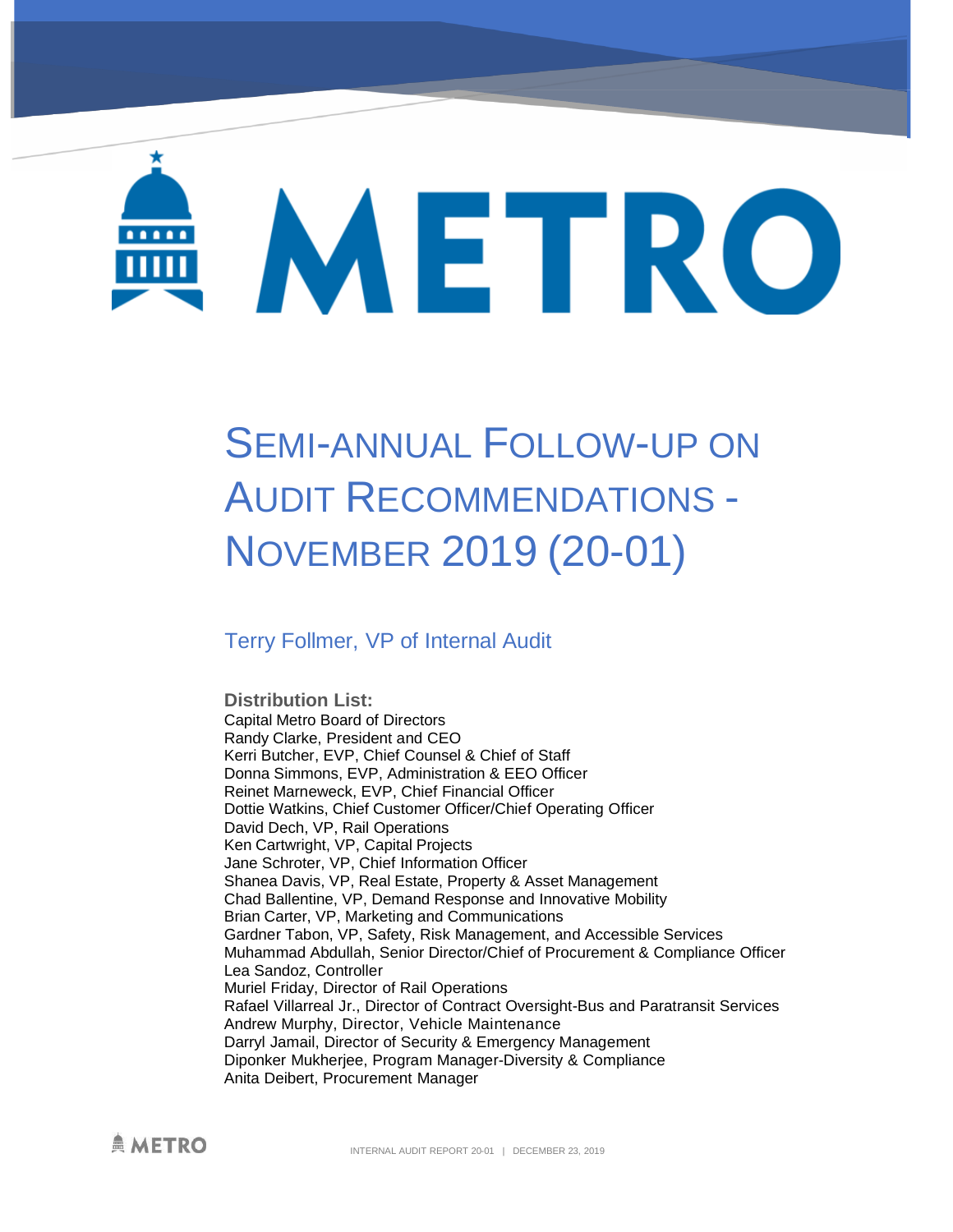# METRO

# SEMI-ANNUAL FOLLOW-UP ON AUDIT RECOMMENDATIONS - NOVEMBER 2019 (20-01)

### Terry Follmer, VP of Internal Audit

**Distribution List:** Capital Metro Board of Directors Randy Clarke, President and CEO Kerri Butcher, EVP, Chief Counsel & Chief of Staff Donna Simmons, EVP, Administration & EEO Officer Reinet Marneweck, EVP, Chief Financial Officer Dottie Watkins, Chief Customer Officer/Chief Operating Officer David Dech, VP, Rail Operations Ken Cartwright, VP, Capital Projects Jane Schroter, VP, Chief Information Officer Shanea Davis, VP, Real Estate, Property & Asset Management Chad Ballentine, VP, Demand Response and Innovative Mobility Brian Carter, VP, Marketing and Communications Gardner Tabon, VP, Safety, Risk Management, and Accessible Services Muhammad Abdullah, Senior Director/Chief of Procurement & Compliance Officer Lea Sandoz, Controller Muriel Friday, Director of Rail Operations Rafael Villarreal Jr., Director of Contract Oversight-Bus and Paratransit Services Andrew Murphy, Director, Vehicle Maintenance Darryl Jamail, Director of Security & Emergency Management Diponker Mukherjee, Program Manager-Diversity & Compliance Anita Deibert, Procurement Manager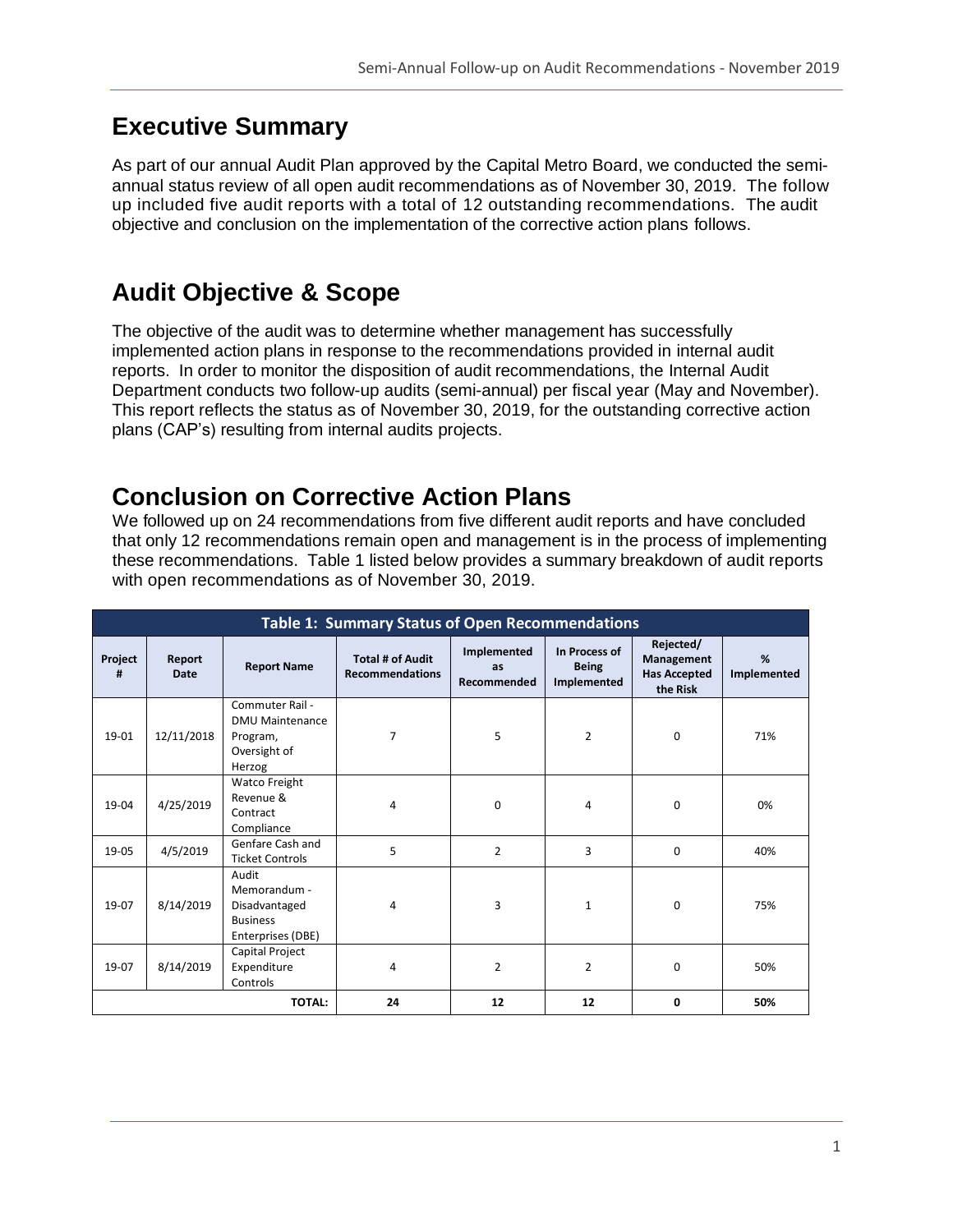# **Executive Summary**

As part of our annual Audit Plan approved by the Capital Metro Board, we conducted the semiannual status review of all open audit recommendations as of November 30, 2019. The follow up included five audit reports with a total of 12 outstanding recommendations. The audit objective and conclusion on the implementation of the corrective action plans follows.

# **Audit Objective & Scope**

The objective of the audit was to determine whether management has successfully implemented action plans in response to the recommendations provided in internal audit reports. In order to monitor the disposition of audit recommendations, the Internal Audit Department conducts two follow-up audits (semi-annual) per fiscal year (May and November). This report reflects the status as of November 30, 2019, for the outstanding corrective action plans (CAP's) resulting from internal audits projects.

# **Conclusion on Corrective Action Plans**

We followed up on 24 recommendations from five different audit reports and have concluded that only 12 recommendations remain open and management is in the process of implementing these recommendations. Table 1 listed below provides a summary breakdown of audit reports with open recommendations as of November 30, 2019.

| <b>Table 1: Summary Status of Open Recommendations</b> |                       |                                                                                 |                                                   |                                  |                                              |                                                            |                  |
|--------------------------------------------------------|-----------------------|---------------------------------------------------------------------------------|---------------------------------------------------|----------------------------------|----------------------------------------------|------------------------------------------------------------|------------------|
| Project<br>#                                           | Report<br><b>Date</b> | <b>Report Name</b>                                                              | <b>Total # of Audit</b><br><b>Recommendations</b> | Implemented<br>as<br>Recommended | In Process of<br><b>Being</b><br>Implemented | Rejected/<br>Management<br><b>Has Accepted</b><br>the Risk | %<br>Implemented |
| 19-01                                                  | 12/11/2018            | Commuter Rail -<br><b>DMU Maintenance</b><br>Program,<br>Oversight of<br>Herzog | 7                                                 | 5                                | $\overline{2}$                               | 0                                                          | 71%              |
| 19-04                                                  | 4/25/2019             | Watco Freight<br>Revenue &<br>Contract<br>Compliance                            | 4                                                 | 0                                | 4                                            | $\Omega$                                                   | 0%               |
| 19-05                                                  | 4/5/2019              | Genfare Cash and<br><b>Ticket Controls</b>                                      | 5                                                 | $\overline{2}$                   | 3                                            | $\Omega$                                                   | 40%              |
| 19-07                                                  | 8/14/2019             | Audit<br>Memorandum -<br>Disadvantaged<br><b>Business</b><br>Enterprises (DBE)  | 4                                                 | 3                                | $\mathbf{1}$                                 | $\Omega$                                                   | 75%              |
| 19-07                                                  | 8/14/2019             | Capital Project<br>Expenditure<br>Controls                                      | 4                                                 | $\overline{2}$                   | $\overline{2}$                               | $\Omega$                                                   | 50%              |
| <b>TOTAL:</b>                                          |                       |                                                                                 | 24                                                | 12                               | 12                                           | 0                                                          | 50%              |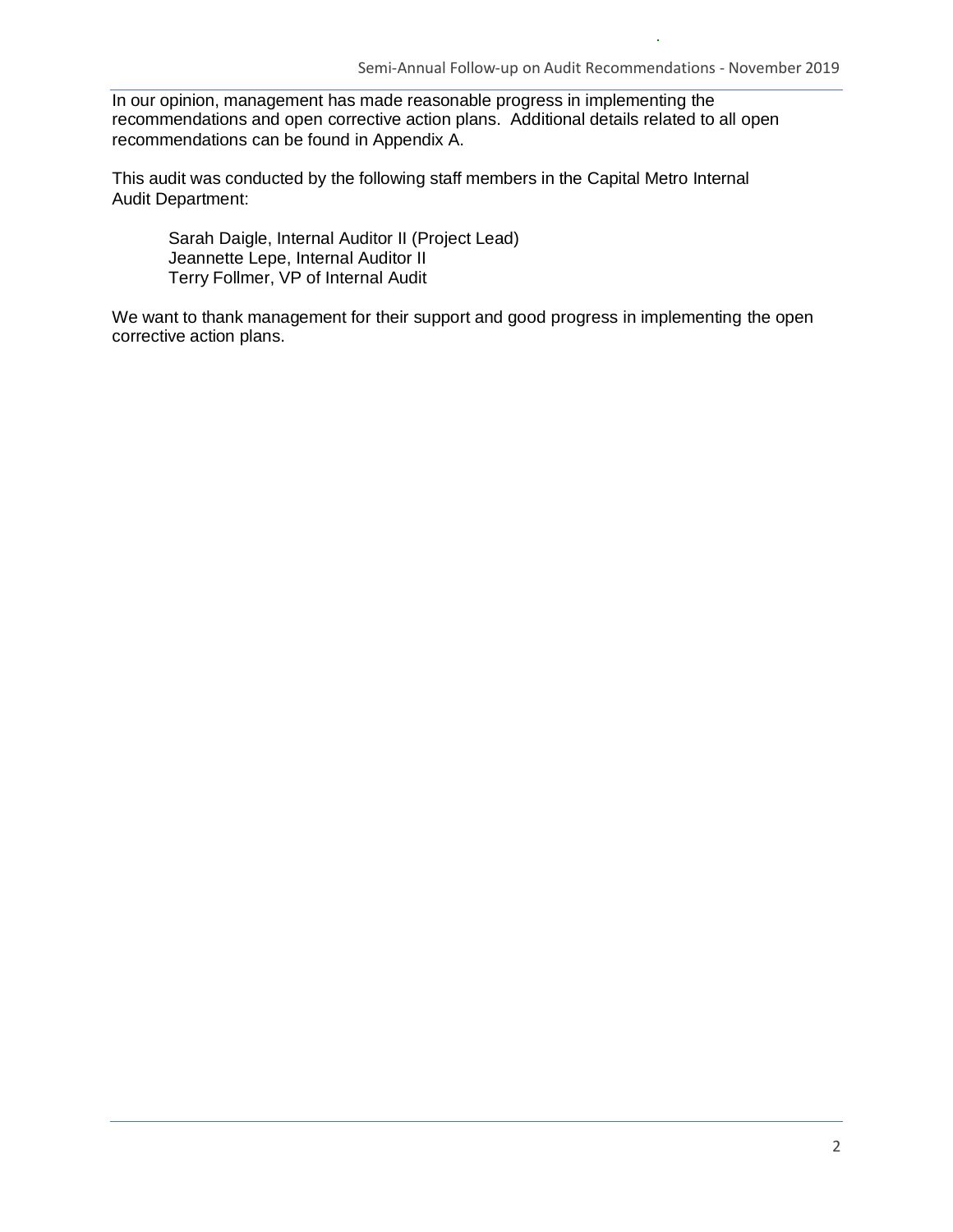In our opinion, management has made reasonable progress in implementing the recommendations and open corrective action plans. Additional details related to all open recommendations can be found in Appendix A.

This audit was conducted by the following staff members in the Capital Metro Internal Audit Department:

Sarah Daigle, Internal Auditor II (Project Lead) Jeannette Lepe, Internal Auditor II Terry Follmer, VP of Internal Audit

We want to thank management for their support and good progress in implementing the open corrective action plans.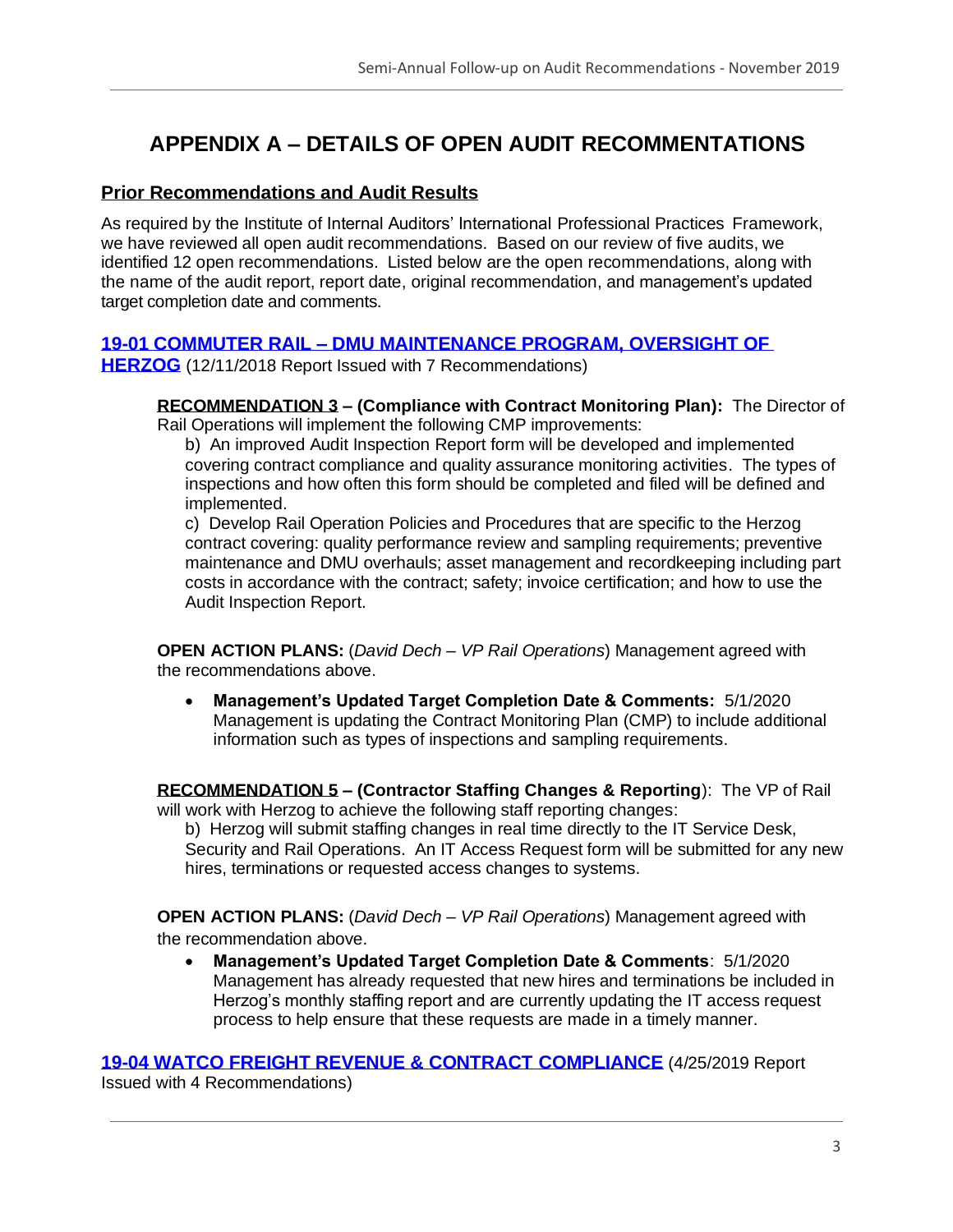## **APPENDIX A – DETAILS OF OPEN AUDIT RECOMMENTATIONS**

#### **Prior Recommendations and Audit Results**

As required by the Institute of Internal Auditors' International Professional Practices Framework, we have reviewed all open audit recommendations. Based on our review of five audits, we identified 12 open recommendations. Listed below are the open recommendations, along with the name of the audit report, report date, original recommendation, and management's updated target completion date and comments.

#### **19-01 COMMUTER RAIL – [DMU MAINTENANCE PROGRAM, OVERSIGHT OF](https://www.capmetro.org/uploadedFiles/New2016/About_Capital_Metro/Financial_Transparency/Audit_Documents/Fiscal_Year_2019_Internal_Audits/19-01-Commuter-Rail-DMU-Maintenance-Program-2-11-18.pdf)**

**[HERZOG](https://www.capmetro.org/uploadedFiles/New2016/About_Capital_Metro/Financial_Transparency/Audit_Documents/Fiscal_Year_2019_Internal_Audits/19-01-Commuter-Rail-DMU-Maintenance-Program-2-11-18.pdf)** (12/11/2018 Report Issued with 7 Recommendations)

**RECOMMENDATION 3 – (Compliance with Contract Monitoring Plan):** The Director of Rail Operations will implement the following CMP improvements:

b) An improved Audit Inspection Report form will be developed and implemented covering contract compliance and quality assurance monitoring activities. The types of inspections and how often this form should be completed and filed will be defined and implemented.

c) Develop Rail Operation Policies and Procedures that are specific to the Herzog contract covering: quality performance review and sampling requirements; preventive maintenance and DMU overhauls; asset management and recordkeeping including part costs in accordance with the contract; safety; invoice certification; and how to use the Audit Inspection Report.

**OPEN ACTION PLANS:** (*David Dech – VP Rail Operations*) Management agreed with the recommendations above.

• **Management's Updated Target Completion Date & Comments:** 5/1/2020 Management is updating the Contract Monitoring Plan (CMP) to include additional information such as types of inspections and sampling requirements.

**RECOMMENDATION 5 – (Contractor Staffing Changes & Reporting**): The VP of Rail will work with Herzog to achieve the following staff reporting changes:

b) Herzog will submit staffing changes in real time directly to the IT Service Desk, Security and Rail Operations. An IT Access Request form will be submitted for any new hires, terminations or requested access changes to systems.

**OPEN ACTION PLANS:** (*David Dech – VP Rail Operations*) Management agreed with the recommendation above.

• **Management's Updated Target Completion Date & Comments**: 5/1/2020 Management has already requested that new hires and terminations be included in Herzog's monthly staffing report and are currently updating the IT access request process to help ensure that these requests are made in a timely manner.

**[19-04 WATCO FREIGHT REVENUE & CONTRACT](https://www.capmetro.org/uploadedFiles/New2016/About_Capital_Metro/Financial_Transparency/Audit_Documents/Fiscal_Year_2019_Internal_Audits/19-04_Watco-Freight-Revenue-and-Contract-Compliance_04-25-19.pdf) COMPLIANCE** (4/25/2019 Report

Issued with 4 Recommendations)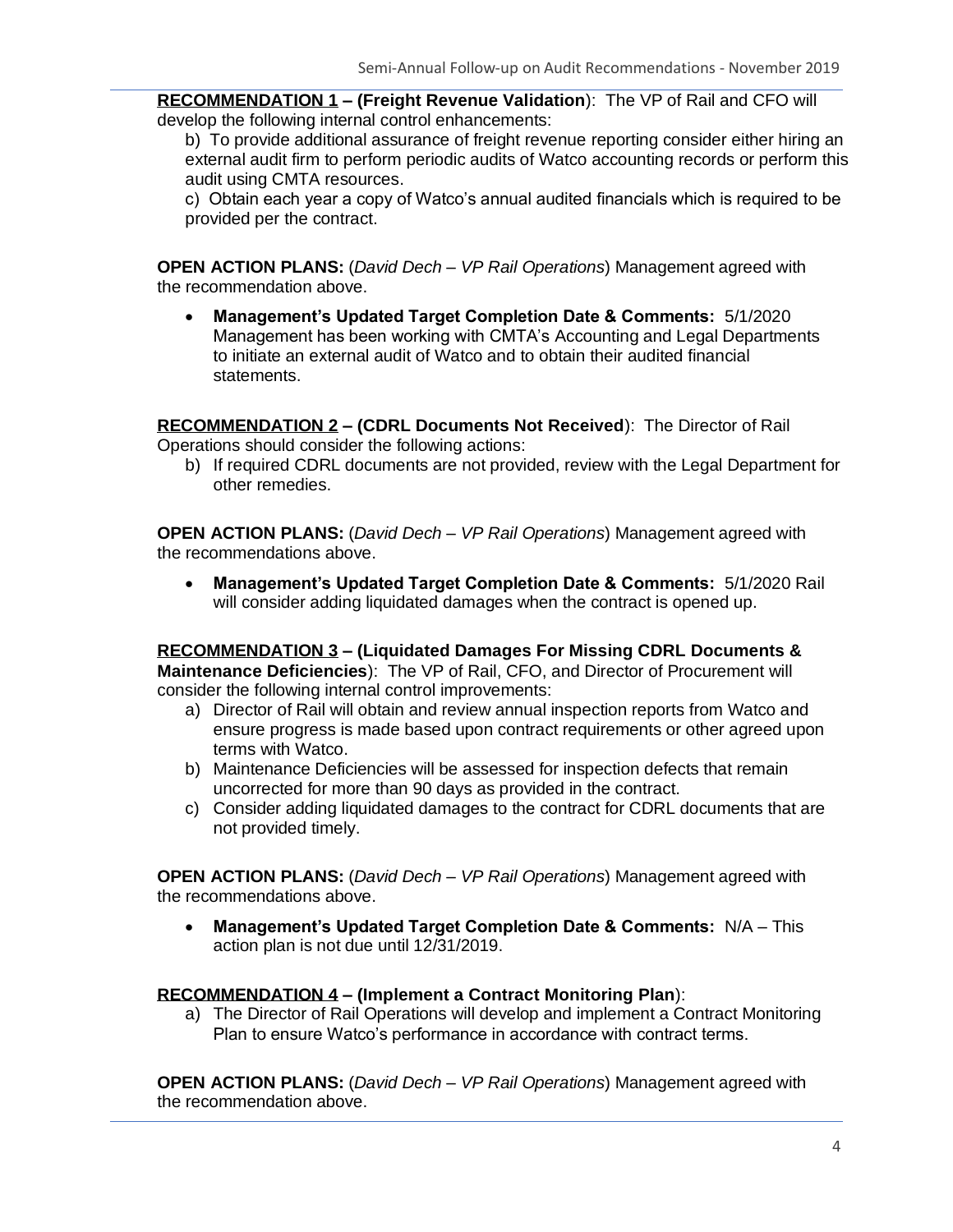**RECOMMENDATION 1 – (Freight Revenue Validation**): The VP of Rail and CFO will develop the following internal control enhancements:

b) To provide additional assurance of freight revenue reporting consider either hiring an external audit firm to perform periodic audits of Watco accounting records or perform this audit using CMTA resources.

c) Obtain each year a copy of Watco's annual audited financials which is required to be provided per the contract.

**OPEN ACTION PLANS:** (*David Dech – VP Rail Operations*) Management agreed with the recommendation above.

• **Management's Updated Target Completion Date & Comments:** 5/1/2020 Management has been working with CMTA's Accounting and Legal Departments to initiate an external audit of Watco and to obtain their audited financial statements.

**RECOMMENDATION 2 – (CDRL Documents Not Received**): The Director of Rail Operations should consider the following actions:

b) If required CDRL documents are not provided, review with the Legal Department for other remedies.

**OPEN ACTION PLANS:** (*David Dech – VP Rail Operations*) Management agreed with the recommendations above.

• **Management's Updated Target Completion Date & Comments:** 5/1/2020 Rail will consider adding liquidated damages when the contract is opened up.

**RECOMMENDATION 3 – (Liquidated Damages For Missing CDRL Documents & Maintenance Deficiencies**): The VP of Rail, CFO, and Director of Procurement will consider the following internal control improvements:

- a) Director of Rail will obtain and review annual inspection reports from Watco and ensure progress is made based upon contract requirements or other agreed upon terms with Watco.
- b) Maintenance Deficiencies will be assessed for inspection defects that remain uncorrected for more than 90 days as provided in the contract.
- c) Consider adding liquidated damages to the contract for CDRL documents that are not provided timely.

**OPEN ACTION PLANS:** (*David Dech – VP Rail Operations*) Management agreed with the recommendations above.

• **Management's Updated Target Completion Date & Comments:** N/A – This action plan is not due until 12/31/2019.

#### **RECOMMENDATION 4 – (Implement a Contract Monitoring Plan**):

a) The Director of Rail Operations will develop and implement a Contract Monitoring Plan to ensure Watco's performance in accordance with contract terms.

**OPEN ACTION PLANS:** (*David Dech – VP Rail Operations*) Management agreed with the recommendation above.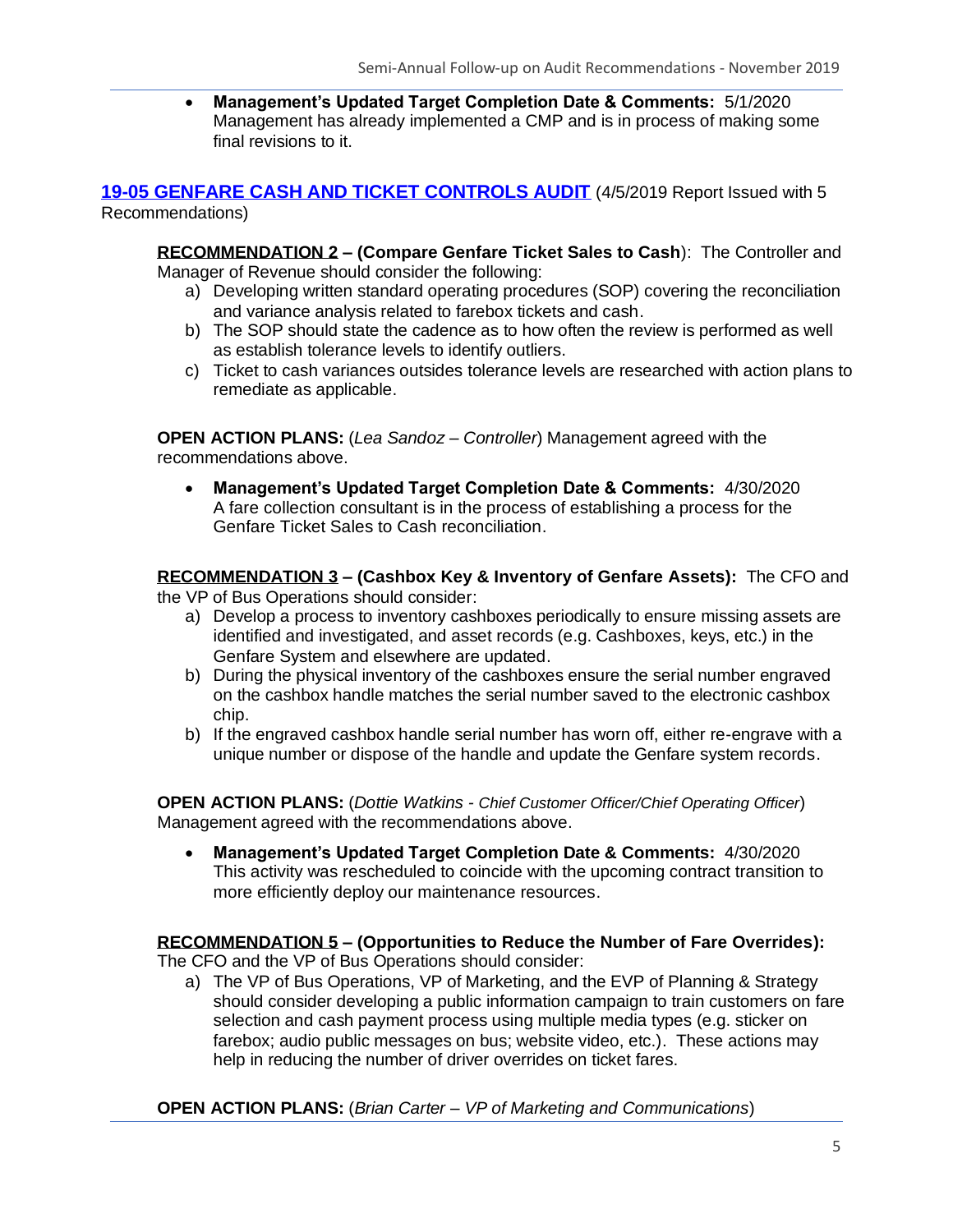• **Management's Updated Target Completion Date & Comments:** 5/1/2020 Management has already implemented a CMP and is in process of making some final revisions to it.

**[19-05 GENFARE CASH AND TICKET CONTROLS AUDIT](https://www.capmetro.org/uploadedFiles/New2016/About_Capital_Metro/Financial_Transparency/Audit_Documents/Fiscal_Year_2019_Internal_Audits/Genfare-Cash-and-Ticket-Controls-Audit-4-5-19.pdf)** (4/5/2019 Report Issued with 5 Recommendations)

**RECOMMENDATION 2 – (Compare Genfare Ticket Sales to Cash**): The Controller and Manager of Revenue should consider the following:

- a) Developing written standard operating procedures (SOP) covering the reconciliation and variance analysis related to farebox tickets and cash.
- b) The SOP should state the cadence as to how often the review is performed as well as establish tolerance levels to identify outliers.
- c) Ticket to cash variances outsides tolerance levels are researched with action plans to remediate as applicable.

**OPEN ACTION PLANS:** (*Lea Sandoz – Controller*) Management agreed with the recommendations above.

• **Management's Updated Target Completion Date & Comments:** 4/30/2020 A fare collection consultant is in the process of establishing a process for the Genfare Ticket Sales to Cash reconciliation.

**RECOMMENDATION 3 – (Cashbox Key & Inventory of Genfare Assets):** The CFO and

the VP of Bus Operations should consider:

- a) Develop a process to inventory cashboxes periodically to ensure missing assets are identified and investigated, and asset records (e.g. Cashboxes, keys, etc.) in the Genfare System and elsewhere are updated.
- b) During the physical inventory of the cashboxes ensure the serial number engraved on the cashbox handle matches the serial number saved to the electronic cashbox chip.
- b) If the engraved cashbox handle serial number has worn off, either re-engrave with a unique number or dispose of the handle and update the Genfare system records.

**OPEN ACTION PLANS:** (*Dottie Watkins - Chief Customer Officer/Chief Operating Officer*) Management agreed with the recommendations above.

• **Management's Updated Target Completion Date & Comments:** 4/30/2020 This activity was rescheduled to coincide with the upcoming contract transition to more efficiently deploy our maintenance resources.

#### **RECOMMENDATION 5 – (Opportunities to Reduce the Number of Fare Overrides):**

The CFO and the VP of Bus Operations should consider:

a) The VP of Bus Operations, VP of Marketing, and the EVP of Planning & Strategy should consider developing a public information campaign to train customers on fare selection and cash payment process using multiple media types (e.g. sticker on farebox; audio public messages on bus; website video, etc.). These actions may help in reducing the number of driver overrides on ticket fares.

**OPEN ACTION PLANS:** (*Brian Carter – VP of Marketing and Communications*)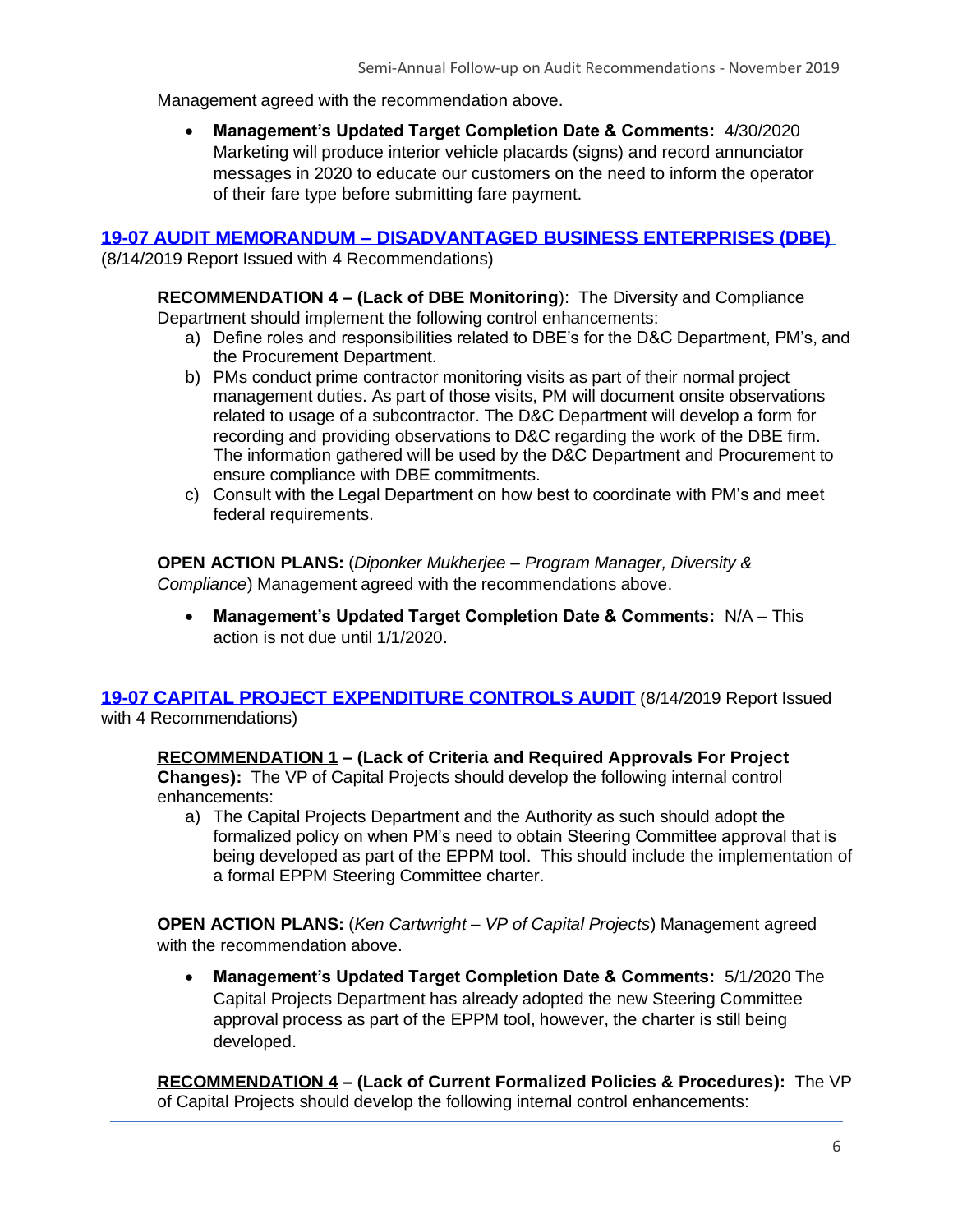Management agreed with the recommendation above.

• **Management's Updated Target Completion Date & Comments:** 4/30/2020 Marketing will produce interior vehicle placards (signs) and record annunciator messages in 2020 to educate our customers on the need to inform the operator of their fare type before submitting fare payment.

#### **19-07 AUDIT MEMORANDUM – [DISADVANTAGED BUSINESS ENTERPRISES \(DBE\)](https://www.capmetro.org/uploadedFiles/New2016/About_Capital_Metro/Financial_Transparency/Audit_Documents/Fiscal_Year_2019_Internal_Audits/19-07-Memorandum-for-DBE-Review.pdf)**

(8/14/2019 Report Issued with 4 Recommendations)

**RECOMMENDATION 4 – (Lack of DBE Monitoring**): The Diversity and Compliance Department should implement the following control enhancements:

- a) Define roles and responsibilities related to DBE's for the D&C Department, PM's, and the Procurement Department.
- b) PMs conduct prime contractor monitoring visits as part of their normal project management duties. As part of those visits, PM will document onsite observations related to usage of a subcontractor. The D&C Department will develop a form for recording and providing observations to D&C regarding the work of the DBE firm. The information gathered will be used by the D&C Department and Procurement to ensure compliance with DBE commitments.
- c) Consult with the Legal Department on how best to coordinate with PM's and meet federal requirements.

**OPEN ACTION PLANS:** (*Diponker Mukherjee – Program Manager, Diversity & Compliance*) Management agreed with the recommendations above.

• **Management's Updated Target Completion Date & Comments:** N/A – This action is not due until 1/1/2020.

**[19-07 CAPITAL PROJECT EXPENDITURE CONTROLS AUDIT](https://www.capmetro.org/uploadedFiles/New2016/About_Capital_Metro/Financial_Transparency/Audit_Documents/Fiscal_Year_2019_Internal_Audits/19-07-Capital-Project-Expenditure-Controls-Audit-Report.pdf)** (8/14/2019 Report Issued with 4 Recommendations)

**RECOMMENDATION 1 – (Lack of Criteria and Required Approvals For Project Changes):** The VP of Capital Projects should develop the following internal control

- enhancements:
	- a) The Capital Projects Department and the Authority as such should adopt the formalized policy on when PM's need to obtain Steering Committee approval that is being developed as part of the EPPM tool. This should include the implementation of a formal EPPM Steering Committee charter.

**OPEN ACTION PLANS:** (*Ken Cartwright – VP of Capital Projects*) Management agreed with the recommendation above.

• **Management's Updated Target Completion Date & Comments:** 5/1/2020 The Capital Projects Department has already adopted the new Steering Committee approval process as part of the EPPM tool, however, the charter is still being developed.

**RECOMMENDATION 4 – (Lack of Current Formalized Policies & Procedures):** The VP of Capital Projects should develop the following internal control enhancements: